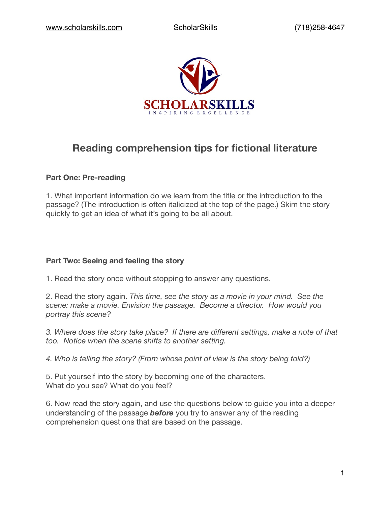

# **Reading comprehension tips for fictional literature**

# **Part One: Pre-reading**

1. What important information do we learn from the title or the introduction to the passage? (The introduction is often italicized at the top of the page.) Skim the story quickly to get an idea of what it's going to be all about.

# **Part Two: Seeing and feeling the story**

1. Read the story once without stopping to answer any questions.

2. Read the story again. *This time, see the story as a movie in your mind. See the scene: make a movie. Envision the passage. Become a director. How would you portray this scene?*

*3. Where does the story take place? If there are different settings, make a note of that too. Notice when the scene shifts to another setting.*

*4. Who is telling the story? (From whose point of view is the story being told?)*

5. Put yourself into the story by becoming one of the characters. What do you see? What do you feel?

6. Now read the story again, and use the questions below to guide you into a deeper understanding of the passage *before* you try to answer any of the reading comprehension questions that are based on the passage.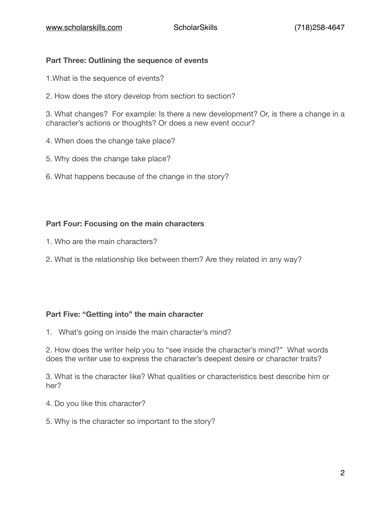# **Part Three: Outlining the sequence of events**

- 1.What is the sequence of events?
- 2. How does the story develop from section to section?

3. What changes? For example: Is there a new development? Or, is there a change in a character's actions or thoughts? Or does a new event occur?

- 4. When does the change take place?
- 5. Why does the change take place?
- 6. What happens because of the change in the story?

### **Part Four: Focusing on the main characters**

- 1. Who are the main characters?
- 2. What is the relationship like between them? Are they related in any way?

### **Part Five: "Getting into" the main character**

1. What's going on inside the main character's mind?

2. How does the writer help you to "see inside the character's mind?" What words does the writer use to express the character's deepest desire or character traits?

3. What is the character like? What qualities or characteristics best describe him or her?

- 4. Do you like this character?
- 5. Why is the character so important to the story?